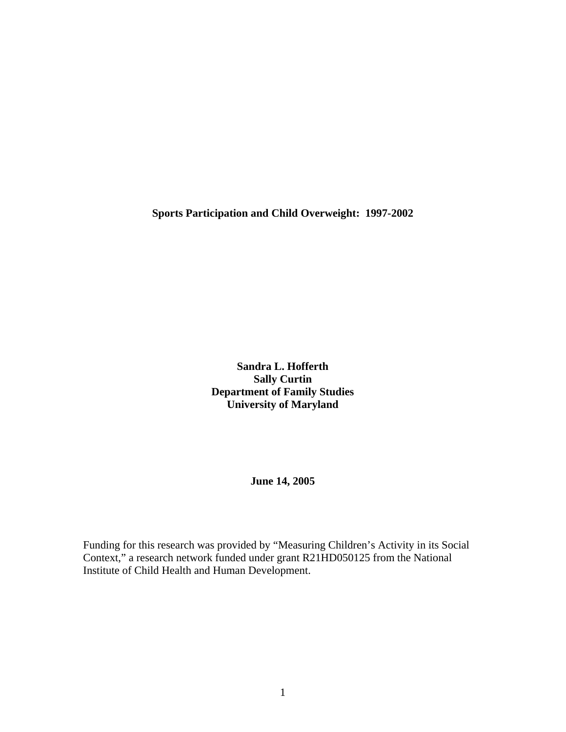**Sports Participation and Child Overweight: 1997-2002** 

**Sandra L. Hofferth Sally Curtin Department of Family Studies University of Maryland**

**June 14, 2005** 

Funding for this research was provided by "Measuring Children's Activity in its Social Context," a research network funded under grant R21HD050125 from the National Institute of Child Health and Human Development.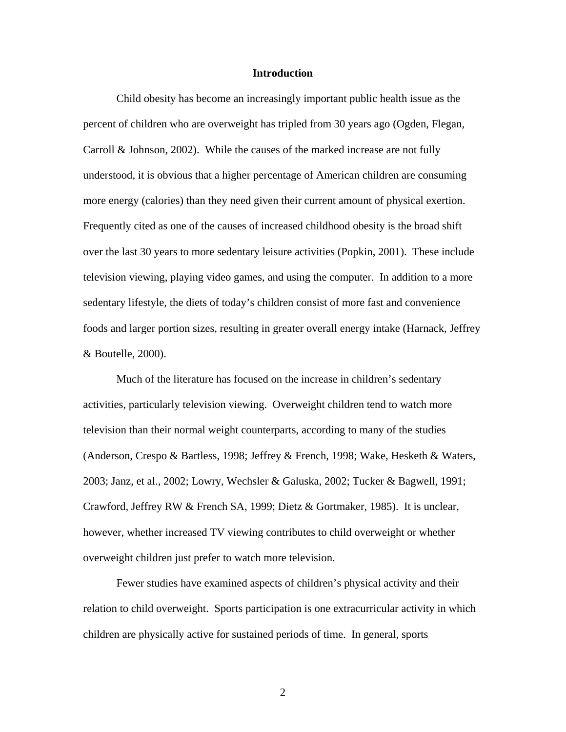#### **Introduction**

Child obesity has become an increasingly important public health issue as the percent of children who are overweight has tripled from 30 years ago (Ogden, Flegan, Carroll & Johnson, 2002). While the causes of the marked increase are not fully understood, it is obvious that a higher percentage of American children are consuming more energy (calories) than they need given their current amount of physical exertion. Frequently cited as one of the causes of increased childhood obesity is the broad shift over the last 30 years to more sedentary leisure activities (Popkin, 2001). These include television viewing, playing video games, and using the computer. In addition to a more sedentary lifestyle, the diets of today's children consist of more fast and convenience foods and larger portion sizes, resulting in greater overall energy intake (Harnack, Jeffrey & Boutelle, 2000).

Much of the literature has focused on the increase in children's sedentary activities, particularly television viewing. Overweight children tend to watch more television than their normal weight counterparts, according to many of the studies (Anderson, Crespo & Bartless, 1998; Jeffrey & French, 1998; Wake, Hesketh & Waters, 2003; Janz, et al., 2002; Lowry, Wechsler & Galuska, 2002; Tucker & Bagwell, 1991; Crawford, Jeffrey RW & French SA, 1999; Dietz & Gortmaker, 1985). It is unclear, however, whether increased TV viewing contributes to child overweight or whether overweight children just prefer to watch more television.

Fewer studies have examined aspects of children's physical activity and their relation to child overweight. Sports participation is one extracurricular activity in which children are physically active for sustained periods of time. In general, sports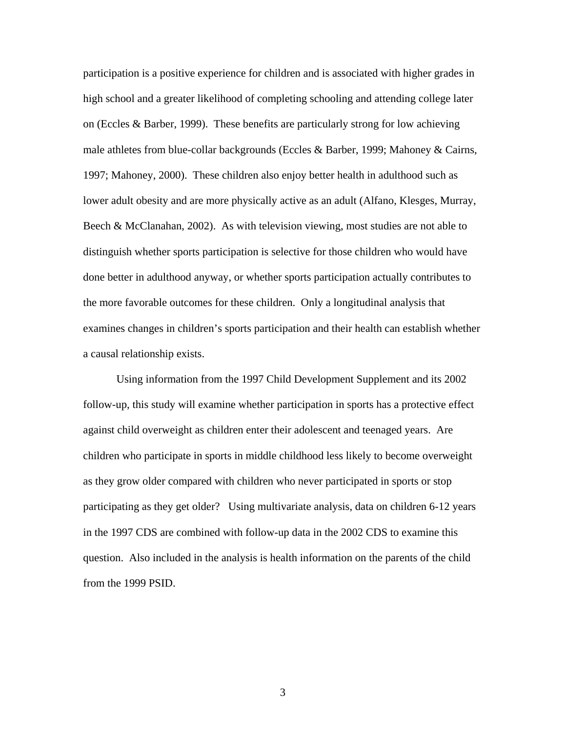participation is a positive experience for children and is associated with higher grades in high school and a greater likelihood of completing schooling and attending college later on (Eccles & Barber, 1999). These benefits are particularly strong for low achieving male athletes from blue-collar backgrounds (Eccles & Barber, 1999; Mahoney & Cairns, 1997; Mahoney, 2000). These children also enjoy better health in adulthood such as lower adult obesity and are more physically active as an adult (Alfano, Klesges, Murray, Beech  $\&$  McClanahan, 2002). As with television viewing, most studies are not able to distinguish whether sports participation is selective for those children who would have done better in adulthood anyway, or whether sports participation actually contributes to the more favorable outcomes for these children. Only a longitudinal analysis that examines changes in children's sports participation and their health can establish whether a causal relationship exists.

Using information from the 1997 Child Development Supplement and its 2002 follow-up, this study will examine whether participation in sports has a protective effect against child overweight as children enter their adolescent and teenaged years. Are children who participate in sports in middle childhood less likely to become overweight as they grow older compared with children who never participated in sports or stop participating as they get older? Using multivariate analysis, data on children 6-12 years in the 1997 CDS are combined with follow-up data in the 2002 CDS to examine this question. Also included in the analysis is health information on the parents of the child from the 1999 PSID.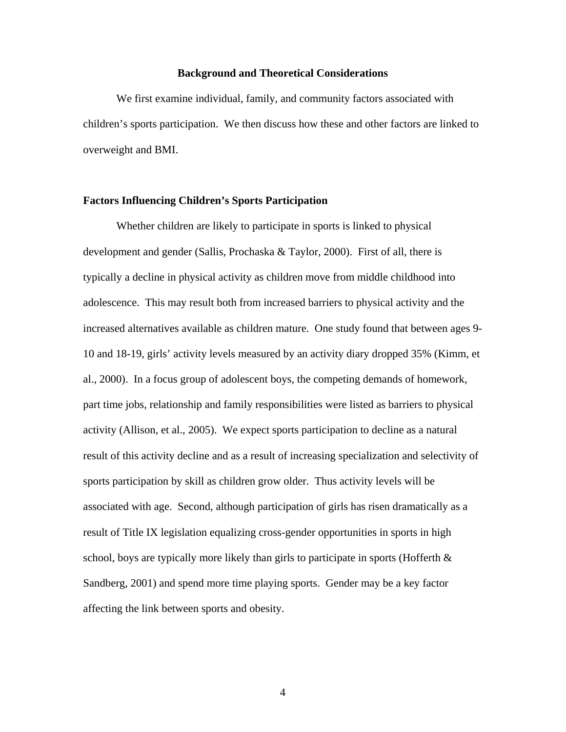### **Background and Theoretical Considerations**

We first examine individual, family, and community factors associated with children's sports participation. We then discuss how these and other factors are linked to overweight and BMI.

### **Factors Influencing Children's Sports Participation**

Whether children are likely to participate in sports is linked to physical development and gender (Sallis, Prochaska & Taylor, 2000). First of all, there is typically a decline in physical activity as children move from middle childhood into adolescence. This may result both from increased barriers to physical activity and the increased alternatives available as children mature. One study found that between ages 9- 10 and 18-19, girls' activity levels measured by an activity diary dropped 35% (Kimm, et al., 2000). In a focus group of adolescent boys, the competing demands of homework, part time jobs, relationship and family responsibilities were listed as barriers to physical activity (Allison, et al., 2005). We expect sports participation to decline as a natural result of this activity decline and as a result of increasing specialization and selectivity of sports participation by skill as children grow older. Thus activity levels will be associated with age. Second, although participation of girls has risen dramatically as a result of Title IX legislation equalizing cross-gender opportunities in sports in high school, boys are typically more likely than girls to participate in sports (Hofferth  $\&$ Sandberg, 2001) and spend more time playing sports. Gender may be a key factor affecting the link between sports and obesity.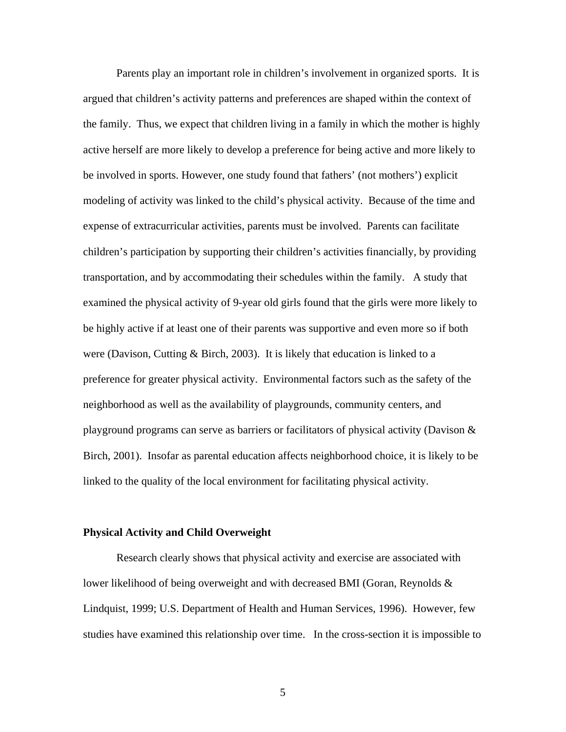Parents play an important role in children's involvement in organized sports. It is argued that children's activity patterns and preferences are shaped within the context of the family. Thus, we expect that children living in a family in which the mother is highly active herself are more likely to develop a preference for being active and more likely to be involved in sports. However, one study found that fathers' (not mothers') explicit modeling of activity was linked to the child's physical activity. Because of the time and expense of extracurricular activities, parents must be involved. Parents can facilitate children's participation by supporting their children's activities financially, by providing transportation, and by accommodating their schedules within the family. A study that examined the physical activity of 9-year old girls found that the girls were more likely to be highly active if at least one of their parents was supportive and even more so if both were (Davison, Cutting  $\&$  Birch, 2003). It is likely that education is linked to a preference for greater physical activity. Environmental factors such as the safety of the neighborhood as well as the availability of playgrounds, community centers, and playground programs can serve as barriers or facilitators of physical activity (Davison & Birch, 2001). Insofar as parental education affects neighborhood choice, it is likely to be linked to the quality of the local environment for facilitating physical activity.

#### **Physical Activity and Child Overweight**

Research clearly shows that physical activity and exercise are associated with lower likelihood of being overweight and with decreased BMI (Goran, Reynolds  $\&$ Lindquist, 1999; U.S. Department of Health and Human Services, 1996). However, few studies have examined this relationship over time. In the cross-section it is impossible to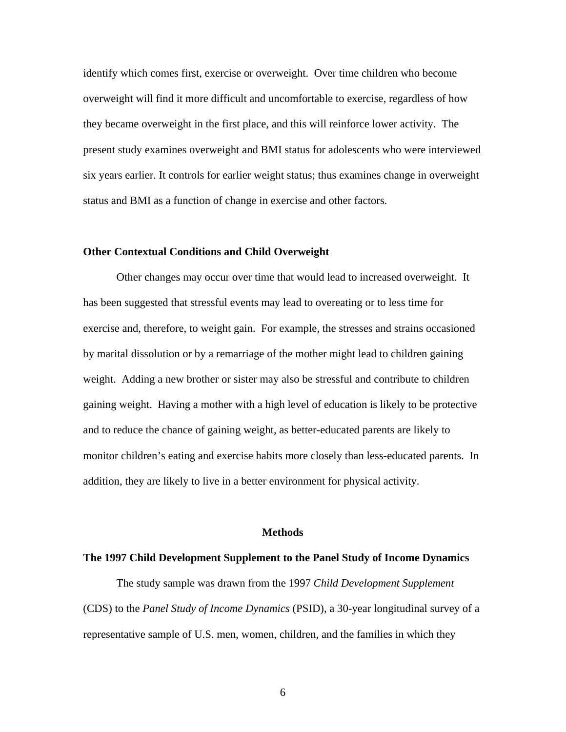identify which comes first, exercise or overweight. Over time children who become overweight will find it more difficult and uncomfortable to exercise, regardless of how they became overweight in the first place, and this will reinforce lower activity. The present study examines overweight and BMI status for adolescents who were interviewed six years earlier. It controls for earlier weight status; thus examines change in overweight status and BMI as a function of change in exercise and other factors.

#### **Other Contextual Conditions and Child Overweight**

Other changes may occur over time that would lead to increased overweight. It has been suggested that stressful events may lead to overeating or to less time for exercise and, therefore, to weight gain. For example, the stresses and strains occasioned by marital dissolution or by a remarriage of the mother might lead to children gaining weight. Adding a new brother or sister may also be stressful and contribute to children gaining weight. Having a mother with a high level of education is likely to be protective and to reduce the chance of gaining weight, as better-educated parents are likely to monitor children's eating and exercise habits more closely than less-educated parents. In addition, they are likely to live in a better environment for physical activity.

### **Methods**

#### **The 1997 Child Development Supplement to the Panel Study of Income Dynamics**

The study sample was drawn from the 1997 *Child Development Supplement* (CDS) to the *Panel Study of Income Dynamics* (PSID), a 30-year longitudinal survey of a representative sample of U.S. men, women, children, and the families in which they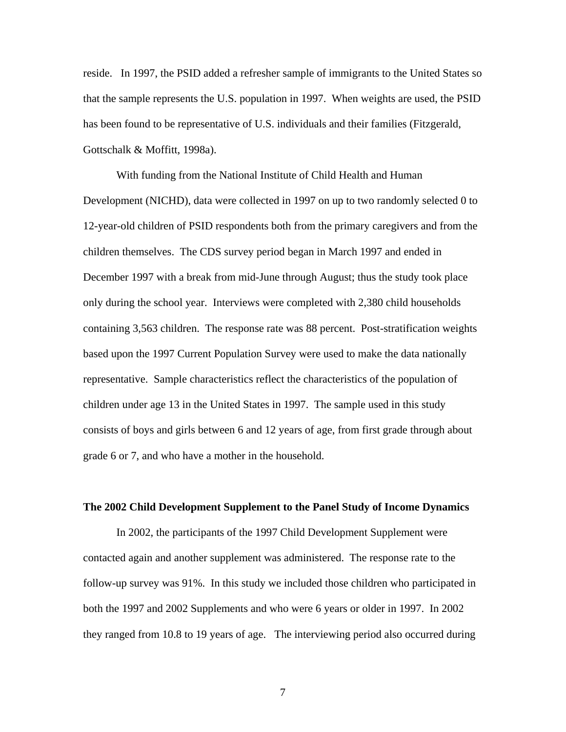reside. In 1997, the PSID added a refresher sample of immigrants to the United States so that the sample represents the U.S. population in 1997. When weights are used, the PSID has been found to be representative of U.S. individuals and their families (Fitzgerald, Gottschalk & Moffitt, 1998a).

With funding from the National Institute of Child Health and Human Development (NICHD), data were collected in 1997 on up to two randomly selected 0 to 12-year-old children of PSID respondents both from the primary caregivers and from the children themselves. The CDS survey period began in March 1997 and ended in December 1997 with a break from mid-June through August; thus the study took place only during the school year. Interviews were completed with 2,380 child households containing 3,563 children. The response rate was 88 percent. Post-stratification weights based upon the 1997 Current Population Survey were used to make the data nationally representative. Sample characteristics reflect the characteristics of the population of children under age 13 in the United States in 1997. The sample used in this study consists of boys and girls between 6 and 12 years of age, from first grade through about grade 6 or 7, and who have a mother in the household.

#### **The 2002 Child Development Supplement to the Panel Study of Income Dynamics**

In 2002, the participants of the 1997 Child Development Supplement were contacted again and another supplement was administered. The response rate to the follow-up survey was 91%. In this study we included those children who participated in both the 1997 and 2002 Supplements and who were 6 years or older in 1997. In 2002 they ranged from 10.8 to 19 years of age. The interviewing period also occurred during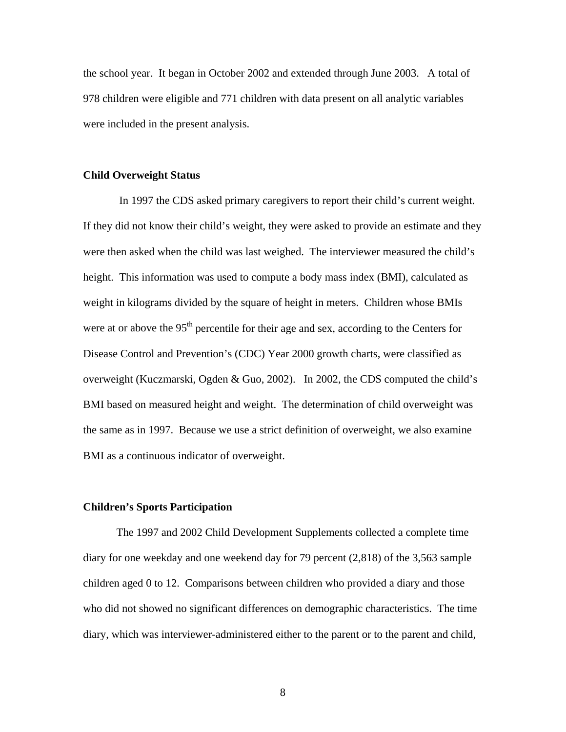the school year. It began in October 2002 and extended through June 2003. A total of 978 children were eligible and 771 children with data present on all analytic variables were included in the present analysis.

#### **Child Overweight Status**

In 1997 the CDS asked primary caregivers to report their child's current weight. If they did not know their child's weight, they were asked to provide an estimate and they were then asked when the child was last weighed. The interviewer measured the child's height. This information was used to compute a body mass index (BMI), calculated as weight in kilograms divided by the square of height in meters. Children whose BMIs were at or above the 95<sup>th</sup> percentile for their age and sex, according to the Centers for Disease Control and Prevention's (CDC) Year 2000 growth charts, were classified as overweight (Kuczmarski, Ogden & Guo, 2002). In 2002, the CDS computed the child's BMI based on measured height and weight. The determination of child overweight was the same as in 1997. Because we use a strict definition of overweight, we also examine BMI as a continuous indicator of overweight.

#### **Children's Sports Participation**

The 1997 and 2002 Child Development Supplements collected a complete time diary for one weekday and one weekend day for 79 percent (2,818) of the 3,563 sample children aged 0 to 12. Comparisons between children who provided a diary and those who did not showed no significant differences on demographic characteristics. The time diary, which was interviewer-administered either to the parent or to the parent and child,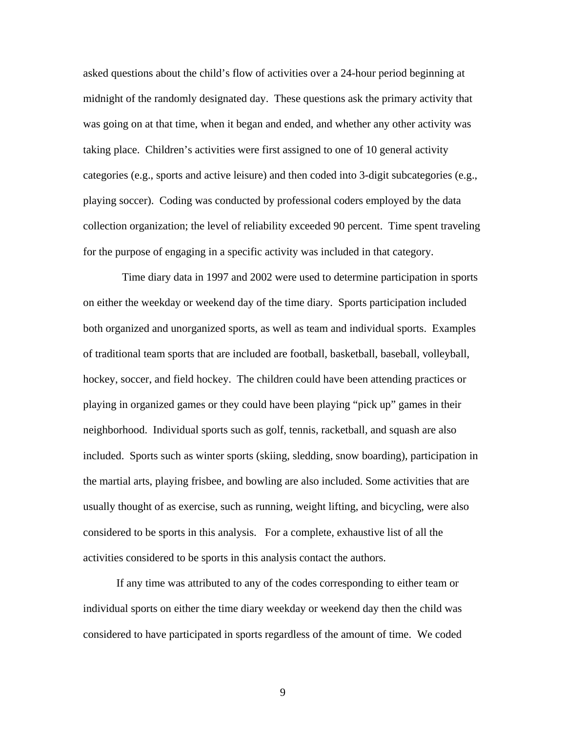asked questions about the child's flow of activities over a 24-hour period beginning at midnight of the randomly designated day. These questions ask the primary activity that was going on at that time, when it began and ended, and whether any other activity was taking place. Children's activities were first assigned to one of 10 general activity categories (e.g., sports and active leisure) and then coded into 3-digit subcategories (e.g., playing soccer). Coding was conducted by professional coders employed by the data collection organization; the level of reliability exceeded 90 percent. Time spent traveling for the purpose of engaging in a specific activity was included in that category.

 Time diary data in 1997 and 2002 were used to determine participation in sports on either the weekday or weekend day of the time diary. Sports participation included both organized and unorganized sports, as well as team and individual sports. Examples of traditional team sports that are included are football, basketball, baseball, volleyball, hockey, soccer, and field hockey. The children could have been attending practices or playing in organized games or they could have been playing "pick up" games in their neighborhood. Individual sports such as golf, tennis, racketball, and squash are also included. Sports such as winter sports (skiing, sledding, snow boarding), participation in the martial arts, playing frisbee, and bowling are also included. Some activities that are usually thought of as exercise, such as running, weight lifting, and bicycling, were also considered to be sports in this analysis. For a complete, exhaustive list of all the activities considered to be sports in this analysis contact the authors.

If any time was attributed to any of the codes corresponding to either team or individual sports on either the time diary weekday or weekend day then the child was considered to have participated in sports regardless of the amount of time. We coded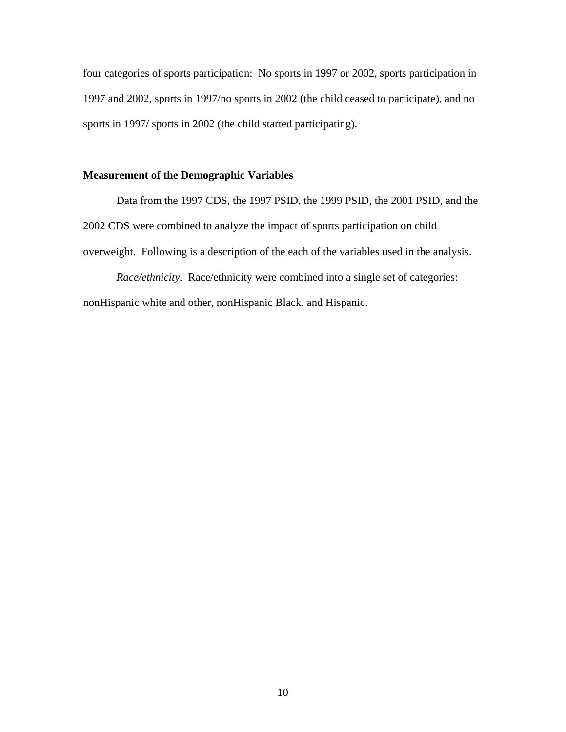four categories of sports participation: No sports in 1997 or 2002, sports participation in 1997 and 2002, sports in 1997/no sports in 2002 (the child ceased to participate), and no sports in 1997/ sports in 2002 (the child started participating).

# **Measurement of the Demographic Variables**

Data from the 1997 CDS, the 1997 PSID, the 1999 PSID, the 2001 PSID, and the 2002 CDS were combined to analyze the impact of sports participation on child overweight. Following is a description of the each of the variables used in the analysis.

*Race/ethnicity.* Race/ethnicity were combined into a single set of categories: nonHispanic white and other, nonHispanic Black, and Hispanic.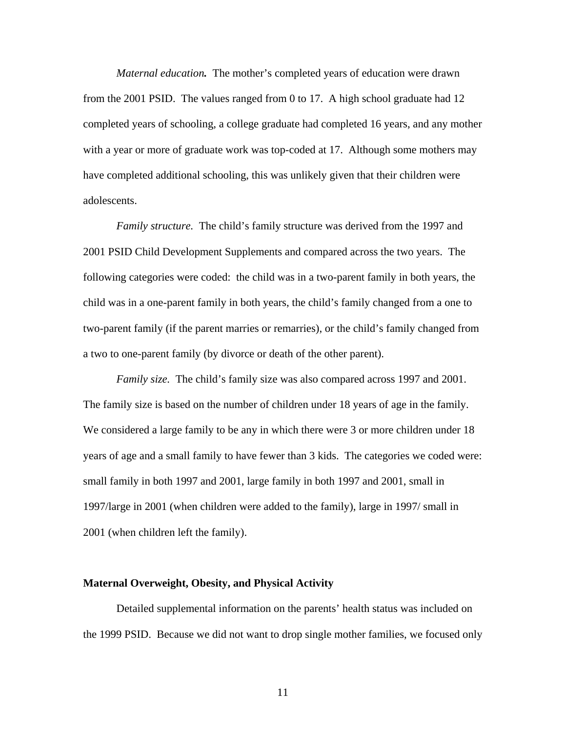*Maternal education.* The mother's completed years of education were drawn from the 2001 PSID. The values ranged from 0 to 17. A high school graduate had 12 completed years of schooling, a college graduate had completed 16 years, and any mother with a year or more of graduate work was top-coded at 17. Although some mothers may have completed additional schooling, this was unlikely given that their children were adolescents.

*Family structure.* The child's family structure was derived from the 1997 and 2001 PSID Child Development Supplements and compared across the two years. The following categories were coded: the child was in a two-parent family in both years, the child was in a one-parent family in both years, the child's family changed from a one to two-parent family (if the parent marries or remarries), or the child's family changed from a two to one-parent family (by divorce or death of the other parent).

*Family size.* The child's family size was also compared across 1997 and 2001. The family size is based on the number of children under 18 years of age in the family. We considered a large family to be any in which there were 3 or more children under 18 years of age and a small family to have fewer than 3 kids. The categories we coded were: small family in both 1997 and 2001, large family in both 1997 and 2001, small in 1997/large in 2001 (when children were added to the family), large in 1997/ small in 2001 (when children left the family).

# **Maternal Overweight, Obesity, and Physical Activity**

Detailed supplemental information on the parents' health status was included on the 1999 PSID. Because we did not want to drop single mother families, we focused only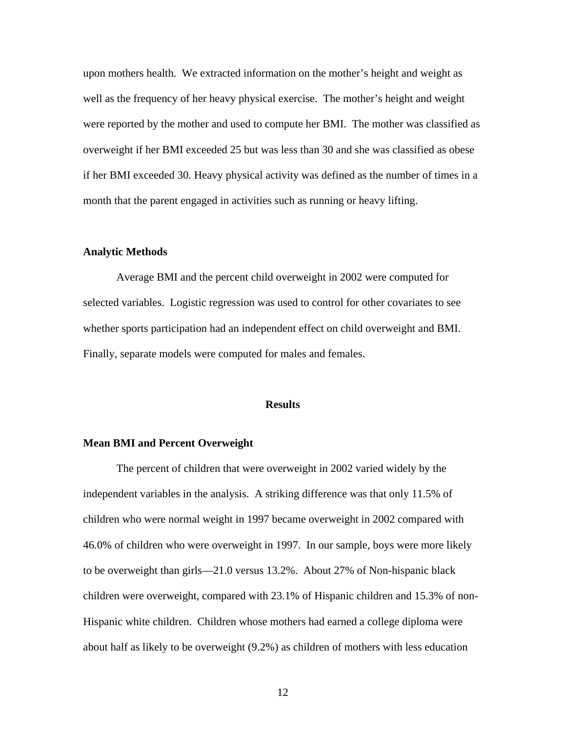upon mothers health. We extracted information on the mother's height and weight as well as the frequency of her heavy physical exercise. The mother's height and weight were reported by the mother and used to compute her BMI. The mother was classified as overweight if her BMI exceeded 25 but was less than 30 and she was classified as obese if her BMI exceeded 30. Heavy physical activity was defined as the number of times in a month that the parent engaged in activities such as running or heavy lifting.

#### **Analytic Methods**

Average BMI and the percent child overweight in 2002 were computed for selected variables. Logistic regression was used to control for other covariates to see whether sports participation had an independent effect on child overweight and BMI. Finally, separate models were computed for males and females.

### **Results**

### **Mean BMI and Percent Overweight**

The percent of children that were overweight in 2002 varied widely by the independent variables in the analysis. A striking difference was that only 11.5% of children who were normal weight in 1997 became overweight in 2002 compared with 46.0% of children who were overweight in 1997. In our sample, boys were more likely to be overweight than girls—21.0 versus 13.2%. About 27% of Non-hispanic black children were overweight, compared with 23.1% of Hispanic children and 15.3% of non-Hispanic white children. Children whose mothers had earned a college diploma were about half as likely to be overweight (9.2%) as children of mothers with less education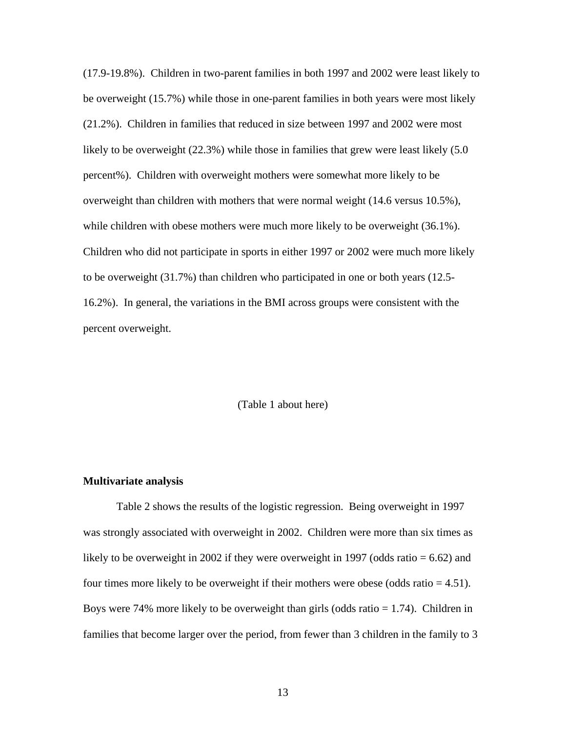(17.9-19.8%). Children in two-parent families in both 1997 and 2002 were least likely to be overweight (15.7%) while those in one-parent families in both years were most likely (21.2%). Children in families that reduced in size between 1997 and 2002 were most likely to be overweight (22.3%) while those in families that grew were least likely (5.0 percent%). Children with overweight mothers were somewhat more likely to be overweight than children with mothers that were normal weight (14.6 versus 10.5%), while children with obese mothers were much more likely to be overweight (36.1%). Children who did not participate in sports in either 1997 or 2002 were much more likely to be overweight (31.7%) than children who participated in one or both years (12.5- 16.2%). In general, the variations in the BMI across groups were consistent with the percent overweight.

(Table 1 about here)

#### **Multivariate analysis**

Table 2 shows the results of the logistic regression. Being overweight in 1997 was strongly associated with overweight in 2002. Children were more than six times as likely to be overweight in 2002 if they were overweight in 1997 (odds ratio  $= 6.62$ ) and four times more likely to be overweight if their mothers were obese (odds ratio  $= 4.51$ ). Boys were 74% more likely to be overweight than girls (odds ratio  $= 1.74$ ). Children in families that become larger over the period, from fewer than 3 children in the family to 3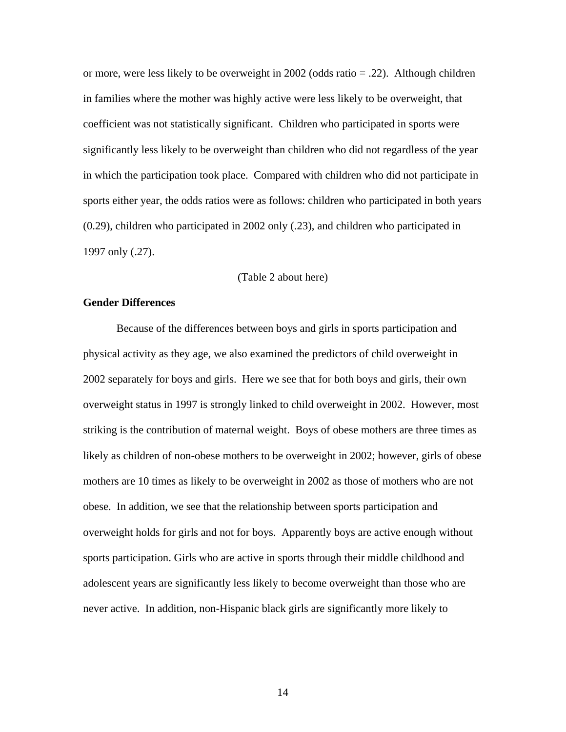or more, were less likely to be overweight in 2002 (odds ratio = .22). Although children in families where the mother was highly active were less likely to be overweight, that coefficient was not statistically significant. Children who participated in sports were significantly less likely to be overweight than children who did not regardless of the year in which the participation took place. Compared with children who did not participate in sports either year, the odds ratios were as follows: children who participated in both years (0.29), children who participated in 2002 only (.23), and children who participated in 1997 only (.27).

# (Table 2 about here)

# **Gender Differences**

Because of the differences between boys and girls in sports participation and physical activity as they age, we also examined the predictors of child overweight in 2002 separately for boys and girls. Here we see that for both boys and girls, their own overweight status in 1997 is strongly linked to child overweight in 2002. However, most striking is the contribution of maternal weight. Boys of obese mothers are three times as likely as children of non-obese mothers to be overweight in 2002; however, girls of obese mothers are 10 times as likely to be overweight in 2002 as those of mothers who are not obese. In addition, we see that the relationship between sports participation and overweight holds for girls and not for boys. Apparently boys are active enough without sports participation. Girls who are active in sports through their middle childhood and adolescent years are significantly less likely to become overweight than those who are never active. In addition, non-Hispanic black girls are significantly more likely to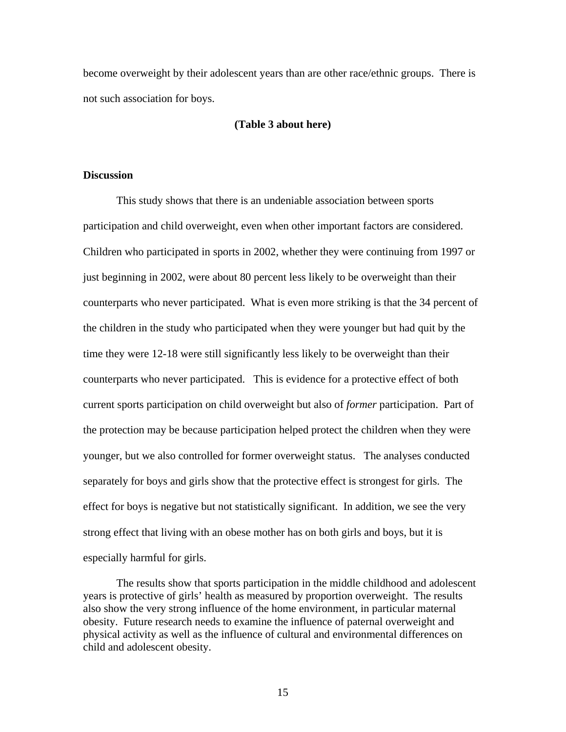become overweight by their adolescent years than are other race/ethnic groups. There is not such association for boys.

# **(Table 3 about here)**

# **Discussion**

This study shows that there is an undeniable association between sports participation and child overweight, even when other important factors are considered. Children who participated in sports in 2002, whether they were continuing from 1997 or just beginning in 2002, were about 80 percent less likely to be overweight than their counterparts who never participated. What is even more striking is that the 34 percent of the children in the study who participated when they were younger but had quit by the time they were 12-18 were still significantly less likely to be overweight than their counterparts who never participated. This is evidence for a protective effect of both current sports participation on child overweight but also of *former* participation. Part of the protection may be because participation helped protect the children when they were younger, but we also controlled for former overweight status. The analyses conducted separately for boys and girls show that the protective effect is strongest for girls. The effect for boys is negative but not statistically significant. In addition, we see the very strong effect that living with an obese mother has on both girls and boys, but it is especially harmful for girls.

The results show that sports participation in the middle childhood and adolescent years is protective of girls' health as measured by proportion overweight. The results also show the very strong influence of the home environment, in particular maternal obesity. Future research needs to examine the influence of paternal overweight and physical activity as well as the influence of cultural and environmental differences on child and adolescent obesity.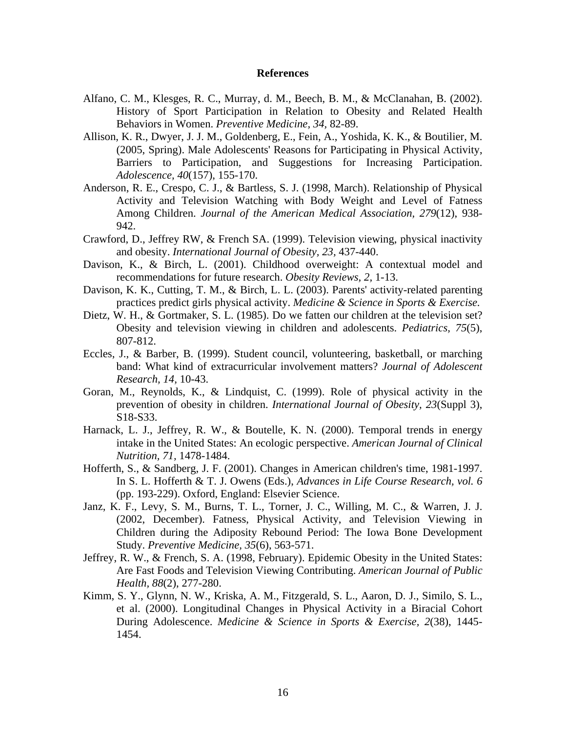### **References**

- Alfano, C. M., Klesges, R. C., Murray, d. M., Beech, B. M., & McClanahan, B. (2002). History of Sport Participation in Relation to Obesity and Related Health Behaviors in Women. *Preventive Medicine, 34,* 82-89.
- Allison, K. R., Dwyer, J. J. M., Goldenberg, E., Fein, A., Yoshida, K. K., & Boutilier, M. (2005, Spring). Male Adolescents' Reasons for Participating in Physical Activity, Barriers to Participation, and Suggestions for Increasing Participation. *Adolescence, 40*(157), 155-170.
- Anderson, R. E., Crespo, C. J., & Bartless, S. J. (1998, March). Relationship of Physical Activity and Television Watching with Body Weight and Level of Fatness Among Children. *Journal of the American Medical Association, 279*(12), 938- 942.
- Crawford, D., Jeffrey RW, & French SA. (1999). Television viewing, physical inactivity and obesity. *International Journal of Obesity, 23,* 437-440.
- Davison, K., & Birch, L. (2001). Childhood overweight: A contextual model and recommendations for future research. *Obesity Reviews, 2,* 1-13.
- Davison, K. K., Cutting, T. M., & Birch, L. L. (2003). Parents' activity-related parenting practices predict girls physical activity. *Medicine & Science in Sports & Exercise.*
- Dietz, W. H., & Gortmaker, S. L. (1985). Do we fatten our children at the television set? Obesity and television viewing in children and adolescents. *Pediatrics, 75*(5), 807-812.
- Eccles, J., & Barber, B. (1999). Student council, volunteering, basketball, or marching band: What kind of extracurricular involvement matters? *Journal of Adolescent Research, 14,* 10-43.
- Goran, M., Reynolds, K., & Lindquist, C. (1999). Role of physical activity in the prevention of obesity in children. *International Journal of Obesity, 23*(Suppl 3), S18-S33.
- Harnack, L. J., Jeffrey, R. W., & Boutelle, K. N. (2000). Temporal trends in energy intake in the United States: An ecologic perspective. *American Journal of Clinical Nutrition, 71,* 1478-1484.
- Hofferth, S., & Sandberg, J. F. (2001). Changes in American children's time, 1981-1997. In S. L. Hofferth & T. J. Owens (Eds.), *Advances in Life Course Research, vol. 6* (pp. 193-229). Oxford, England: Elsevier Science.
- Janz, K. F., Levy, S. M., Burns, T. L., Torner, J. C., Willing, M. C., & Warren, J. J. (2002, December). Fatness, Physical Activity, and Television Viewing in Children during the Adiposity Rebound Period: The Iowa Bone Development Study. *Preventive Medicine, 35*(6), 563-571.
- Jeffrey, R. W., & French, S. A. (1998, February). Epidemic Obesity in the United States: Are Fast Foods and Television Viewing Contributing. *American Journal of Public Health, 88*(2), 277-280.
- Kimm, S. Y., Glynn, N. W., Kriska, A. M., Fitzgerald, S. L., Aaron, D. J., Similo, S. L., et al. (2000). Longitudinal Changes in Physical Activity in a Biracial Cohort During Adolescence. *Medicine & Science in Sports & Exercise, 2*(38), 1445- 1454.